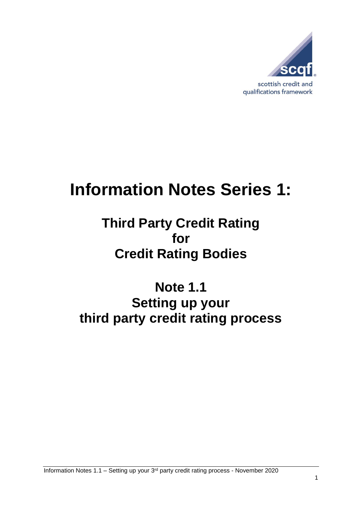

# **Information Notes Series 1:**

# **Third Party Credit Rating for Credit Rating Bodies**

**Note 1.1 Setting up your third party credit rating process**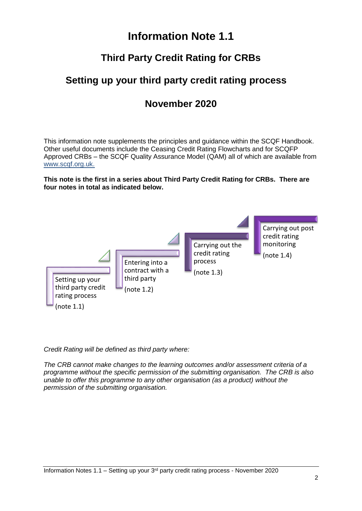### **Information Note 1.1**

#### **Third Party Credit Rating for CRBs**

#### **Setting up your third party credit rating process**

#### **November 2020**

This information note supplements the principles and guidance within the SCQF Handbook. Other useful documents include the Ceasing Credit Rating Flowcharts and for SCQFP Approved CRBs – the SCQF Quality Assurance Model (QAM) all of which are available from [www.scqf.org.uk.](http://www.scqf.org.uk/)

**This note is the first in a series about Third Party Credit Rating for CRBs. There are four notes in total as indicated below.** 



*Credit Rating will be defined as third party where:*

*The CRB cannot make changes to the learning outcomes and/or assessment criteria of a programme without the specific permission of the submitting organisation. The CRB is also unable to offer this programme to any other organisation (as a product) without the permission of the submitting organisation.*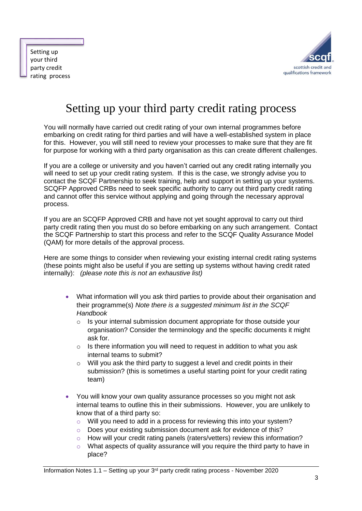Setting up your third party credit rating process



## Setting up your third party credit rating process

You will normally have carried out credit rating of your own internal programmes before embarking on credit rating for third parties and will have a well-established system in place for this. However, you will still need to review your processes to make sure that they are fit for purpose for working with a third party organisation as this can create different challenges.

If you are a college or university and you haven't carried out any credit rating internally you will need to set up your credit rating system. If this is the case, we strongly advise you to contact the SCQF Partnership to seek training, help and support in setting up your systems. SCQFP Approved CRBs need to seek specific authority to carry out third party credit rating and cannot offer this service without applying and going through the necessary approval process.

If you are an SCQFP Approved CRB and have not yet sought approval to carry out third party credit rating then you must do so before embarking on any such arrangement. Contact the SCQF Partnership to start this process and refer to the SCQF Quality Assurance Model (QAM) for more details of the approval process.

Here are some things to consider when reviewing your existing internal credit rating systems (these points might also be useful if you are setting up systems without having credit rated internally): *(please note this is not an exhaustive list)*

- What information will you ask third parties to provide about their organisation and their programme(s) *Note there is a suggested minimum list in the SCQF Handbook*
	- o Is your internal submission document appropriate for those outside your organisation? Consider the terminology and the specific documents it might ask for.
	- o Is there information you will need to request in addition to what you ask internal teams to submit?
	- o Will you ask the third party to suggest a level and credit points in their submission? (this is sometimes a useful starting point for your credit rating team)
- You will know your own quality assurance processes so you might not ask internal teams to outline this in their submissions. However, you are unlikely to know that of a third party so:
	- o Will you need to add in a process for reviewing this into your system?
	- o Does your existing submission document ask for evidence of this?
	- o How will your credit rating panels (raters/vetters) review this information?
	- $\circ$  What aspects of quality assurance will you require the third party to have in place?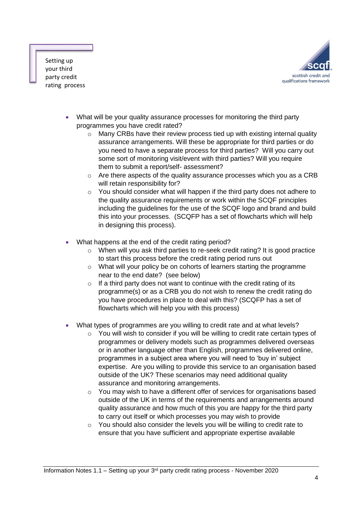

Setting up your third party credit rating process

- What will be your quality assurance processes for monitoring the third party programmes you have credit rated?
	- o Many CRBs have their review process tied up with existing internal quality assurance arrangements. Will these be appropriate for third parties or do you need to have a separate process for third parties? Will you carry out some sort of monitoring visit/event with third parties? Will you require them to submit a report/self- assessment?
	- o Are there aspects of the quality assurance processes which you as a CRB will retain responsibility for?
	- o You should consider what will happen if the third party does not adhere to the quality assurance requirements or work within the SCQF principles including the guidelines for the use of the SCQF logo and brand and build this into your processes. (SCQFP has a set of flowcharts which will help in designing this process).
- What happens at the end of the credit rating period?
	- $\circ$  When will you ask third parties to re-seek credit rating? It is good practice to start this process before the credit rating period runs out
	- o What will your policy be on cohorts of learners starting the programme near to the end date? (see below)
	- $\circ$  If a third party does not want to continue with the credit rating of its programme(s) or as a CRB you do not wish to renew the credit rating do you have procedures in place to deal with this? (SCQFP has a set of flowcharts which will help you with this process)
- What types of programmes are you willing to credit rate and at what levels?
	- $\circ$  You will wish to consider if you will be willing to credit rate certain types of programmes or delivery models such as programmes delivered overseas or in another language other than English, programmes delivered online, programmes in a subject area where you will need to 'buy in' subject expertise. Are you willing to provide this service to an organisation based outside of the UK? These scenarios may need additional quality assurance and monitoring arrangements.
	- $\circ$  You may wish to have a different offer of services for organisations based outside of the UK in terms of the requirements and arrangements around quality assurance and how much of this you are happy for the third party to carry out itself or which processes you may wish to provide
	- o You should also consider the levels you will be willing to credit rate to ensure that you have sufficient and appropriate expertise available